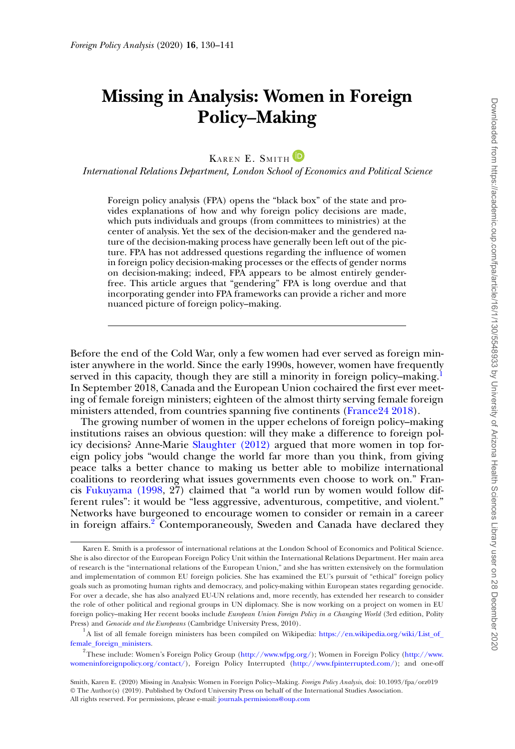# **Missing in Analysis: Women in Foreign Policy–Making**

KAREN E. SMITH

*International Relations Department, London School of Economics and Political Science*

Foreign policy analysis (FPA) opens the "black box" of the state and provides explanations of how and why foreign policy decisions are made, which puts individuals and groups (from committees to ministries) at the center of analysis. Yet the sex of the decision-maker and the gendered nature of the decision-making process have generally been left out of the picture. FPA has not addressed questions regarding the influence of women in foreign policy decision-making processes or the effects of gender norms on decision-making; indeed, FPA appears to be almost entirely genderfree. This article argues that "gendering" FPA is long overdue and that incorporating gender into FPA frameworks can provide a richer and more nuanced picture of foreign policy–making.

Before the end of the Cold War, only a few women had ever served as foreign minister anywhere in the world. Since the early 1990s, however, women have frequently served in this capacity, though they are still a minority in foreign policy–making. In September 2018, Canada and the European Union cochaired the first ever meeting of female foreign ministers; eighteen of the almost thirty serving female foreign ministers attended, from countries spanning five continents [\(France24 2018\)](#page-9-0).

The growing number of women in the upper echelons of foreign policy–making institutions raises an obvious question: will they make a difference to foreign policy decisions? Anne-Marie [Slaughter \(2012\)](#page-10-0) argued that more women in top foreign policy jobs "would change the world far more than you think, from giving peace talks a better chance to making us better able to mobilize international coalitions to reordering what issues governments even choose to work on." Francis [Fukuyama \(1998,](#page-9-1) 27) claimed that "a world run by women would follow different rules": it would be "less aggressive, adventurous, competitive, and violent." Networks have burgeoned to encourage women to consider or remain in a career in foreign affairs.<sup>[2](#page-0-1)</sup> Contemporaneously, Sweden and Canada have declared they

Karen E. Smith is a professor of international relations at the London School of Economics and Political Science. She is also director of the European Foreign Policy Unit within the International Relations Department. Her main area of research is the "international relations of the European Union," and she has written extensively on the formulation and implementation of common EU foreign policies. She has examined the EU's pursuit of "ethical" foreign policy goals such as promoting human rights and democracy, and policy-making within European states regarding genocide. For over a decade, she has also analyzed EU-UN relations and, more recently, has extended her research to consider the role of other political and regional groups in UN diplomacy. She is now working on a project on women in EU foreign policy–making Her recent books include *European Union Foreign Policy in a Changing World* (3rd edition, Polity Press) and *Genocide and the Europeans* (Cambridge University Press, 2010).

<span id="page-0-0"></span><sup>&</sup>lt;sup>1</sup>[A list of all female foreign ministers has been compiled on Wikipedia:](https://en.wikipedia.org/wiki/List_of_female_foreign_ministers) https://en.wikipedia.org/wiki/List\_of\_ female\_foreign\_ministers.

<span id="page-0-1"></span> $^2$ These include: Women's Foreign Policy Group [\(http://www.wfpg.org/\)](http://www.wfpg.org/); Women in Foreign Policy (http://www. [womeninforeignpolicy.org/contact/\), Foreign Policy Interrupted \(http://www.fpinterrupted.com/\); and one-off](http://www.womeninforeignpolicy.org/contact/)

Smith, Karen E. (2020) Missing in Analysis: Women in Foreign Policy–Making. *Foreign Policy Analysis*, doi: 10.1093/fpa/orz019 © The Author(s) (2019). Published by Oxford University Press on behalf of the International Studies Association. All rights reserved. For permissions, please e-mail: [journals.permissions@oup.com](mailto:journals.permissions@oup.com)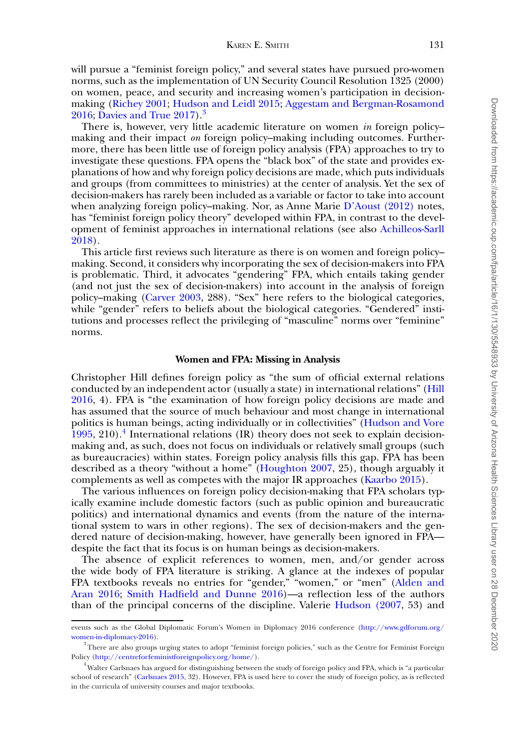will pursue a "feminist foreign policy," and several states have pursued pro-women norms, such as the implementation of UN Security Council Resolution 1325 (2000) on women, peace, and security and increasing women's participation in decisionmaking [\(Richey 2001;](#page-10-1) [Hudson and Leidl 2015;](#page-10-2) [Aggestam and Bergman-Rosamond](#page-8-0) 2016; Davies and True  $2017$ ).<sup>[3](#page-1-0)</sup>

There is, however, very little academic literature on women *in* foreign policy– making and their impact *on* foreign policy–making including outcomes. Furthermore, there has been little use of foreign policy analysis (FPA) approaches to try to investigate these questions. FPA opens the "black box" of the state and provides explanations of how and why foreign policy decisions are made, which puts individuals and groups (from committees to ministries) at the center of analysis. Yet the sex of decision-makers has rarely been included as a variable or factor to take into account when analyzing foreign policy–making. Nor, as Anne Marie [D'Aoust \(2012\)](#page-9-3) notes, has "feminist foreign policy theory" developed within FPA, in contrast to the devel[opment of feminist approaches in international relations \(see also](#page-8-1) Achilleos-Sarll 2018).

This article first reviews such literature as there is on women and foreign policy– making. Second, it considers why incorporating the sex of decision-makers into FPA is problematic. Third, it advocates "gendering" FPA, which entails taking gender (and not just the sex of decision-makers) into account in the analysis of foreign policy–making [\(Carver 2003,](#page-9-4) 288). "Sex" here refers to the biological categories, while "gender" refers to beliefs about the biological categories. "Gendered" institutions and processes reflect the privileging of "masculine" norms over "feminine" norms.

#### **Women and FPA: Missing in Analysis**

Christopher Hill defines foreign policy as "the sum of official external relations conducted by an independent actor (usually a state) in international relations" (Hill [2016, 4\). FPA is "the examination of how foreign policy decisions are made and](#page-10-3) has assumed that the source of much behaviour and most change in international [politics is human beings, acting individually or in collectivities" \(Hudson and Vore](#page-10-4)  $1995, 210$ .<sup>[4](#page-1-1)</sup> International relations (IR) theory does not seek to explain decisionmaking and, as such, does not focus on individuals or relatively small groups (such as bureaucracies) within states. Foreign policy analysis fills this gap. FPA has been described as a theory "without a home" [\(Houghton 2007,](#page-10-5) 25), though arguably it complements as well as competes with the major IR approaches [\(Kaarbo 2015\)](#page-10-6).

The various influences on foreign policy decision-making that FPA scholars typically examine include domestic factors (such as public opinion and bureaucratic politics) and international dynamics and events (from the nature of the international system to wars in other regions). The sex of decision-makers and the gendered nature of decision-making, however, have generally been ignored in FPA despite the fact that its focus is on human beings as decision-makers.

The absence of explicit references to women, men, and/or gender across the wide body of FPA literature is striking. A glance at the indexes of popular [FPA textbooks reveals no entries for "gender," "women," or "men" \(Alden and](#page-8-2) Aran 2016; [Smith Hadfield and Dunne 2016\)](#page-10-7)—a reflection less of the authors than of the principal concerns of the discipline. Valerie [Hudson \(2007,](#page-10-8) 53) and

[events such as the Global Diplomatic Forum's Women in Diplomacy 2016 conference \(http://www.gdforum.org/](http://www.gdforum.org/women-in-diplomacy-2016) women-in-diplomacy-2016).

<span id="page-1-0"></span> $^3$ There are also groups urging states to adopt "feminist foreign policies," such as the Centre for Feminist Foreign Policy [\(http://centreforfeministforeignpolicy.org/home/\)](http://centreforfeministforeignpolicy.org/home/).

<span id="page-1-1"></span> $^4$ Walter Carlsnaes has argued for distinguishing between the study of foreign policy and FPA, which is "a particular school of research" [\(Carlsnaes 2015,](#page-9-5) 32). However, FPA is used here to cover the study of foreign policy, as is reflected in the curricula of university courses and major textbooks.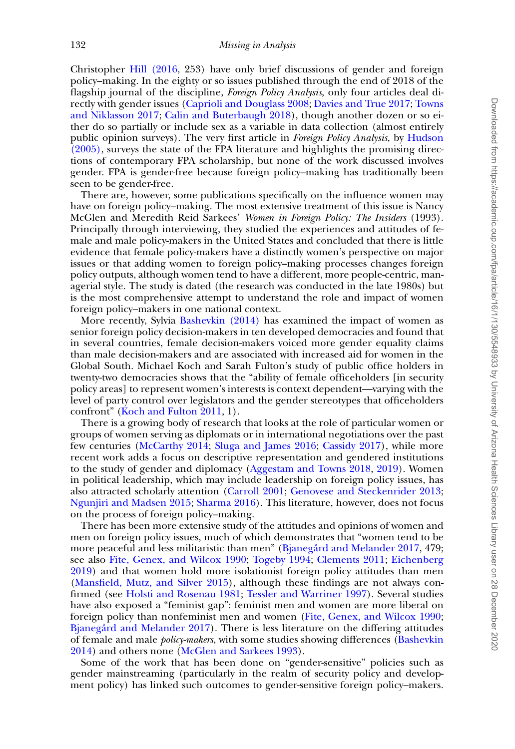Christopher [Hill \(2016,](#page-10-3) 253) have only brief discussions of gender and foreign policy–making. In the eighty or so issues published through the end of 2018 of the flagship journal of the discipline, *Foreign Policy Analysis*, only four articles deal directly with gender issues [\(Caprioli and Douglass 2008;](#page-9-6) [Davies and True 2017;](#page-9-2) Towns and Niklasson 2017; [Calin and Buterbaugh 2018\), though another dozen or so ei](#page-10-9)ther do so partially or include sex as a variable in data collection (almost entirely public opinion surveys). The very first article in *Foreign Policy Analysis*, by Hudson [\(2005\), surveys the state of the FPA literature and highlights the promising direc](#page-10-10)tions of contemporary FPA scholarship, but none of the work discussed involves gender. FPA is gender-free because foreign policy–making has traditionally been seen to be gender-free.

There are, however, some publications specifically on the influence women may have on foreign policy–making. The most extensive treatment of this issue is Nancy McGlen and Meredith Reid Sarkees' *Women in Foreign Policy: The Insiders* (1993). Principally through interviewing, they studied the experiences and attitudes of female and male policy-makers in the United States and concluded that there is little evidence that female policy-makers have a distinctly women's perspective on major issues or that adding women to foreign policy–making processes changes foreign policy outputs, although women tend to have a different, more people-centric, managerial style. The study is dated (the research was conducted in the late 1980s) but is the most comprehensive attempt to understand the role and impact of women foreign policy–makers in one national context.

More recently, Sylvia [Bashevkin \(2014\)](#page-9-8) has examined the impact of women as senior foreign policy decision-makers in ten developed democracies and found that in several countries, female decision-makers voiced more gender equality claims than male decision-makers and are associated with increased aid for women in the Global South. Michael Koch and Sarah Fulton's study of public office holders in twenty-two democracies shows that the "ability of female officeholders [in security policy areas] to represent women's interests is context dependent—varying with the level of party control over legislators and the gender stereotypes that officeholders confront" [\(Koch and Fulton 2011,](#page-10-11) 1).

There is a growing body of research that looks at the role of particular women or groups of women serving as diplomats or in international negotiations over the past few centuries [\(McCarthy 2014;](#page-10-12) [Sluga and James 2016;](#page-10-13) [Cassidy 2017\)](#page-9-9), while more recent work adds a focus on descriptive representation and gendered institutions to the study of gender and diplomacy [\(Aggestam and Towns 2018,](#page-8-3) [2019\)](#page-8-4). Women in political leadership, which may include leadership on foreign policy issues, has also attracted scholarly attention [\(Carroll 2001;](#page-9-10) [Genovese and Steckenrider 2013;](#page-9-11) [Ngunjiri and Madsen 2015;](#page-10-14) [Sharma 2016\)](#page-10-15). This literature, however, does not focus on the process of foreign policy–making.

There has been more extensive study of the attitudes and opinions of women and men on foreign policy issues, much of which demonstrates that "women tend to be more peaceful and less militaristic than men" [\(Bjanegård and Melander 2017,](#page-9-12) 479; see also [Fite, Genex, and Wilcox 1990;](#page-9-13) [Togeby 1994;](#page-10-16) [Clements 2011;](#page-9-14) Eichenberg [2019\) and that women hold more isolationist foreign policy attitudes than men](#page-9-15) [\(Mansfield, Mutz, and Silver 2015\)](#page-10-17), although these findings are not always confirmed (see [Holsti and Rosenau 1981;](#page-10-18) [Tessler and Warriner 1997\)](#page-10-19). Several studies have also exposed a "feminist gap": feminist men and women are more liberal on foreign policy than nonfeminist men and women [\(Fite, Genex, and Wilcox 1990;](#page-9-13) [Bjanegård and Melander 2017\)](#page-9-12). There is less literature on the differing attitudes of female and male *policy-makers*, with some studies showing differences (Bashevkin [2014\) and others none \(McGlen and Sarkees 1993\).](#page-9-8)

Some of the work that has been done on "gender-sensitive" policies such as gender mainstreaming (particularly in the realm of security policy and development policy) has linked such outcomes to gender-sensitive foreign policy–makers.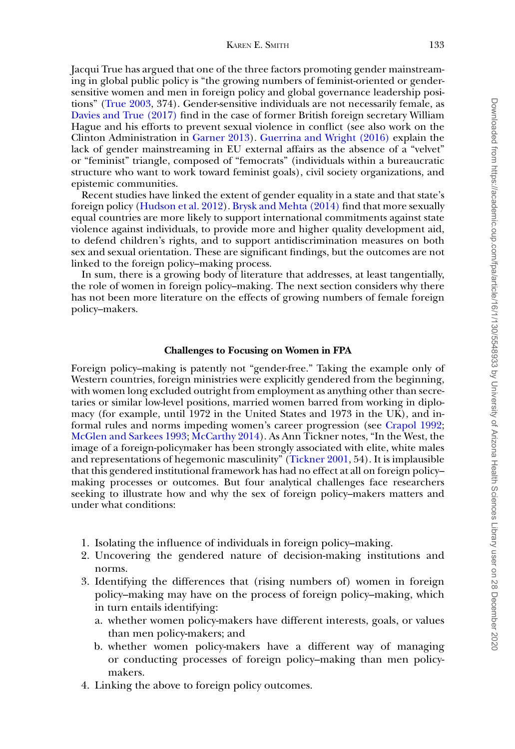Jacqui True has argued that one of the three factors promoting gender mainstreaming in global public policy is "the growing numbers of feminist-oriented or gendersensitive women and men in foreign policy and global governance leadership positions" [\(True 2003,](#page-10-21) 374). Gender-sensitive individuals are not necessarily female, as [Davies and True \(2017\)](#page-9-2) find in the case of former British foreign secretary William Hague and his efforts to prevent sexual violence in conflict (see also work on the Clinton Administration in [Garner 2013\)](#page-9-16). [Guerrina and Wright \(2016\)](#page-9-17) explain the lack of gender mainstreaming in EU external affairs as the absence of a "velvet" or "feminist" triangle, composed of "femocrats" (individuals within a bureaucratic structure who want to work toward feminist goals), civil society organizations, and epistemic communities.

Recent studies have linked the extent of gender equality in a state and that state's foreign policy [\(Hudson et al. 2012\)](#page-10-22). [Brysk and Mehta \(2014\)](#page-9-18) find that more sexually equal countries are more likely to support international commitments against state violence against individuals, to provide more and higher quality development aid, to defend children's rights, and to support antidiscrimination measures on both sex and sexual orientation. These are significant findings, but the outcomes are not linked to the foreign policy–making process.

In sum, there is a growing body of literature that addresses, at least tangentially, the role of women in foreign policy–making. The next section considers why there has not been more literature on the effects of growing numbers of female foreign policy–makers.

#### **Challenges to Focusing on Women in FPA**

Foreign policy–making is patently not "gender-free." Taking the example only of Western countries, foreign ministries were explicitly gendered from the beginning, with women long excluded outright from employment as anything other than secretaries or similar low-level positions, married women barred from working in diplomacy (for example, until 1972 in the United States and 1973 in the UK), and informal rules and norms impeding women's career progression (see [Crapol 1992;](#page-9-19) [McGlen and Sarkees 1993;](#page-10-20) [McCarthy 2014\)](#page-10-12). As Ann Tickner notes, "In the West, the image of a foreign-policymaker has been strongly associated with elite, white males and representations of hegemonic masculinity" [\(Tickner 2001,](#page-10-23) 54). It is implausible that this gendered institutional framework has had no effect at all on foreign policy– making processes or outcomes. But four analytical challenges face researchers seeking to illustrate how and why the sex of foreign policy–makers matters and under what conditions:

- 1. Isolating the influence of individuals in foreign policy–making.
- 2. Uncovering the gendered nature of decision-making institutions and norms.
- 3. Identifying the differences that (rising numbers of) women in foreign policy–making may have on the process of foreign policy–making, which in turn entails identifying:
	- a. whether women policy-makers have different interests, goals, or values than men policy-makers; and
	- b. whether women policy-makers have a different way of managing or conducting processes of foreign policy–making than men policymakers.
- 4. Linking the above to foreign policy outcomes.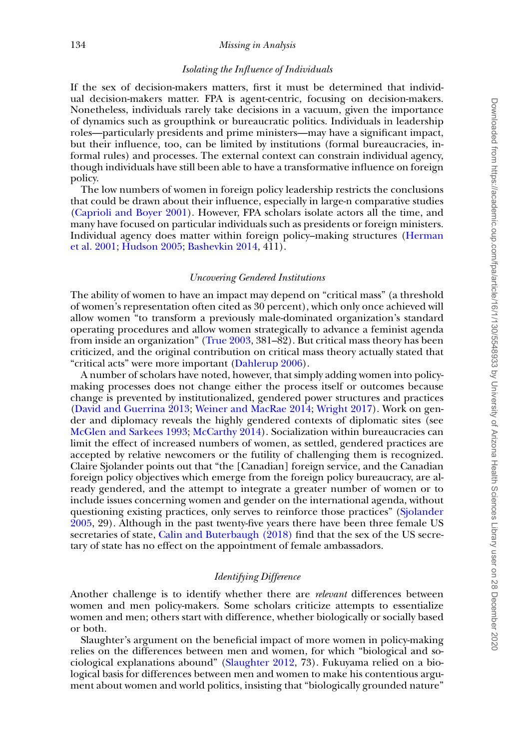### *Isolating the Influence of Individuals*

If the sex of decision-makers matters, first it must be determined that individual decision-makers matter. FPA is agent-centric, focusing on decision-makers. Nonetheless, individuals rarely take decisions in a vacuum, given the importance of dynamics such as groupthink or bureaucratic politics. Individuals in leadership roles—particularly presidents and prime ministers—may have a significant impact, but their influence, too, can be limited by institutions (formal bureaucracies, informal rules) and processes. The external context can constrain individual agency, though individuals have still been able to have a transformative influence on foreign policy.

The low numbers of women in foreign policy leadership restricts the conclusions that could be drawn about their influence, especially in large-n comparative studies [\(Caprioli and Boyer 2001\)](#page-9-20). However, FPA scholars isolate actors all the time, and many have focused on particular individuals such as presidents or foreign ministers. [Individual agency does matter within foreign policy–making structures \(Herman](#page-10-24) et al. 2001; [Hudson 2005;](#page-10-10) [Bashevkin 2014,](#page-9-8) 411).

### *Uncovering Gendered Institutions*

The ability of women to have an impact may depend on "critical mass" (a threshold of women's representation often cited as 30 percent), which only once achieved will allow women "to transform a previously male-dominated organization's standard operating procedures and allow women strategically to advance a feminist agenda from inside an organization" [\(True 2003,](#page-10-21) 381–82). But critical mass theory has been criticized, and the original contribution on critical mass theory actually stated that "critical acts" were more important [\(Dahlerup 2006\)](#page-9-21).

A number of scholars have noted, however, that simply adding women into policymaking processes does not change either the process itself or outcomes because change is prevented by institutionalized, gendered power structures and practices [\(David and Guerrina 2013;](#page-9-22) [Weiner and MacRae 2014;](#page-11-0) [Wright 2017\)](#page-11-1). Work on gender and diplomacy reveals the highly gendered contexts of diplomatic sites (see [McGlen and Sarkees 1993;](#page-10-20) [McCarthy 2014\)](#page-10-12). Socialization within bureaucracies can limit the effect of increased numbers of women, as settled, gendered practices are accepted by relative newcomers or the futility of challenging them is recognized. Claire Sjolander points out that "the [Canadian] foreign service, and the Canadian foreign policy objectives which emerge from the foreign policy bureaucracy, are already gendered, and the attempt to integrate a greater number of women or to include issues concerning women and gender on the international agenda, without questioning existing practices, only serves to reinforce those practices" (Sjolander [2005, 29\). Although in the past twenty-five years there have been three female US](#page-10-25) secretaries of state, [Calin and Buterbaugh \(2018\)](#page-9-7) find that the sex of the US secretary of state has no effect on the appointment of female ambassadors.

## *Identifying Difference*

Another challenge is to identify whether there are *relevant* differences between women and men policy-makers. Some scholars criticize attempts to essentialize women and men; others start with difference, whether biologically or socially based or both.

Slaughter's argument on the beneficial impact of more women in policy-making relies on the differences between men and women, for which "biological and sociological explanations abound" [\(Slaughter 2012,](#page-10-0) 73). Fukuyama relied on a biological basis for differences between men and women to make his contentious argument about women and world politics, insisting that "biologically grounded nature"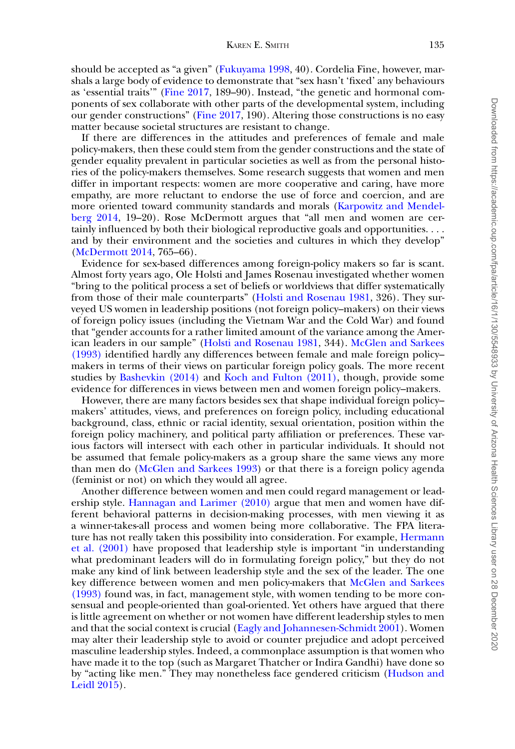should be accepted as "a given" [\(Fukuyama 1998,](#page-9-1) 40). Cordelia Fine, however, marshals a large body of evidence to demonstrate that "sex hasn't 'fixed' any behaviours as 'essential traits'" [\(Fine 2017,](#page-9-23) 189–90). Instead, "the genetic and hormonal components of sex collaborate with other parts of the developmental system, including our gender constructions" [\(Fine 2017,](#page-9-23) 190). Altering those constructions is no easy matter because societal structures are resistant to change.

If there are differences in the attitudes and preferences of female and male policy-makers, then these could stem from the gender constructions and the state of gender equality prevalent in particular societies as well as from the personal histories of the policy-makers themselves. Some research suggests that women and men differ in important respects: women are more cooperative and caring, have more empathy, are more reluctant to endorse the use of force and coercion, and are [more oriented toward community standards and morals \(Karpowitz and Mendel](#page-10-26)berg 2014, 19–20). Rose McDermott argues that "all men and women are certainly influenced by both their biological reproductive goals and opportunities. . . . and by their environment and the societies and cultures in which they develop" [\(McDermott 2014,](#page-10-27) 765–66).

Evidence for sex-based differences among foreign-policy makers so far is scant. Almost forty years ago, Ole Holsti and James Rosenau investigated whether women "bring to the political process a set of beliefs or worldviews that differ systematically from those of their male counterparts" [\(Holsti and Rosenau 1981,](#page-10-18) 326). They surveyed US women in leadership positions (not foreign policy–makers) on their views of foreign policy issues (including the Vietnam War and the Cold War) and found that "gender accounts for a rather limited amount of the variance among the American leaders in our sample" [\(Holsti and Rosenau 1981,](#page-10-18) 344). McGlen and Sarkees (1993) [identified hardly any differences between female and male foreign policy–](#page-10-20) makers in terms of their views on particular foreign policy goals. The more recent studies by [Bashevkin \(2014\)](#page-9-8) and [Koch and Fulton \(2011\),](#page-10-11) though, provide some evidence for differences in views between men and women foreign policy–makers.

However, there are many factors besides sex that shape individual foreign policy– makers' attitudes, views, and preferences on foreign policy, including educational background, class, ethnic or racial identity, sexual orientation, position within the foreign policy machinery, and political party affiliation or preferences. These various factors will intersect with each other in particular individuals. It should not be assumed that female policy-makers as a group share the same views any more than men do [\(McGlen and Sarkees 1993\)](#page-10-20) or that there is a foreign policy agenda (feminist or not) on which they would all agree.

Another difference between women and men could regard management or leadership style. [Hannagan and Larimer \(2010\)](#page-9-24) argue that men and women have different behavioral patterns in decision-making processes, with men viewing it as a winner-takes-all process and women being more collaborative. The FPA litera[ture has not really taken this possibility into consideration. For example,](#page-10-24) Hermann et al. (2001) have proposed that leadership style is important "in understanding what predominant leaders will do in formulating foreign policy," but they do not make any kind of link between leadership style and the sex of the leader. The one key difference between women and men policy-makers that McGlen and Sarkees (1993) [found was, in fact, management style, with women tending to be more con](#page-10-20)sensual and people-oriented than goal-oriented. Yet others have argued that there is little agreement on whether or not women have different leadership styles to men and that the social context is crucial [\(Eagly and Johannesen-Schmidt 2001\)](#page-9-25). Women may alter their leadership style to avoid or counter prejudice and adopt perceived masculine leadership styles. Indeed, a commonplace assumption is that women who have made it to the top (such as Margaret Thatcher or Indira Gandhi) have done so [by "acting like men." They may nonetheless face gendered criticism \(Hudson and](#page-10-2) Leidl 2015).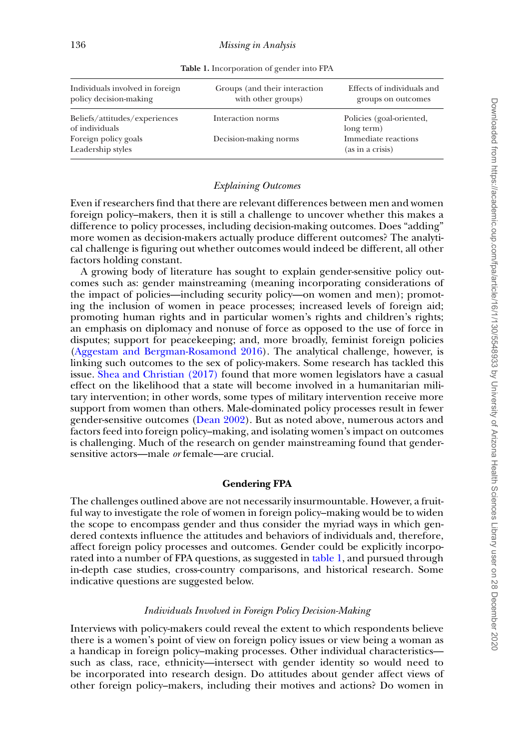<span id="page-6-0"></span>

| Individuals involved in foreign<br>policy decision-making | Groups (and their interaction<br>with other groups) | Effects of individuals and<br>groups on outcomes |
|-----------------------------------------------------------|-----------------------------------------------------|--------------------------------------------------|
| Beliefs/attitudes/experiences<br>of individuals           | Interaction norms                                   | Policies (goal-oriented,<br>long term)           |
| Foreign policy goals<br>Leadership styles                 | Decision-making norms                               | Immediate reactions<br>(as in a crisis)          |

**Table 1.** Incorporation of gender into FPA

## *Explaining Outcomes*

Even if researchers find that there are relevant differences between men and women foreign policy–makers, then it is still a challenge to uncover whether this makes a difference to policy processes, including decision-making outcomes. Does "adding" more women as decision-makers actually produce different outcomes? The analytical challenge is figuring out whether outcomes would indeed be different, all other factors holding constant.

A growing body of literature has sought to explain gender-sensitive policy outcomes such as: gender mainstreaming (meaning incorporating considerations of the impact of policies—including security policy—on women and men); promoting the inclusion of women in peace processes; increased levels of foreign aid; promoting human rights and in particular women's rights and children's rights; an emphasis on diplomacy and nonuse of force as opposed to the use of force in disputes; support for peacekeeping; and, more broadly, feminist foreign policies [\(Aggestam and Bergman-Rosamond 2016\)](#page-8-0). The analytical challenge, however, is linking such outcomes to the sex of policy-makers. Some research has tackled this issue. [Shea and Christian \(2017\)](#page-10-28) found that more women legislators have a casual effect on the likelihood that a state will become involved in a humanitarian military intervention; in other words, some types of military intervention receive more support from women than others. Male-dominated policy processes result in fewer gender-sensitive outcomes [\(Dean 2002\)](#page-9-26). But as noted above, numerous actors and factors feed into foreign policy–making, and isolating women's impact on outcomes is challenging. Much of the research on gender mainstreaming found that gendersensitive actors—male *or* female—are crucial.

## **Gendering FPA**

The challenges outlined above are not necessarily insurmountable. However, a fruitful way to investigate the role of women in foreign policy–making would be to widen the scope to encompass gender and thus consider the myriad ways in which gendered contexts influence the attitudes and behaviors of individuals and, therefore, affect foreign policy processes and outcomes. Gender could be explicitly incorporated into a number of FPA questions, as suggested in [table 1,](#page-6-0) and pursued through in-depth case studies, cross-country comparisons, and historical research. Some indicative questions are suggested below.

## *Individuals Involved in Foreign Policy Decision-Making*

Interviews with policy-makers could reveal the extent to which respondents believe there is a women's point of view on foreign policy issues or view being a woman as a handicap in foreign policy–making processes. Other individual characteristics such as class, race, ethnicity—intersect with gender identity so would need to be incorporated into research design. Do attitudes about gender affect views of other foreign policy–makers, including their motives and actions? Do women in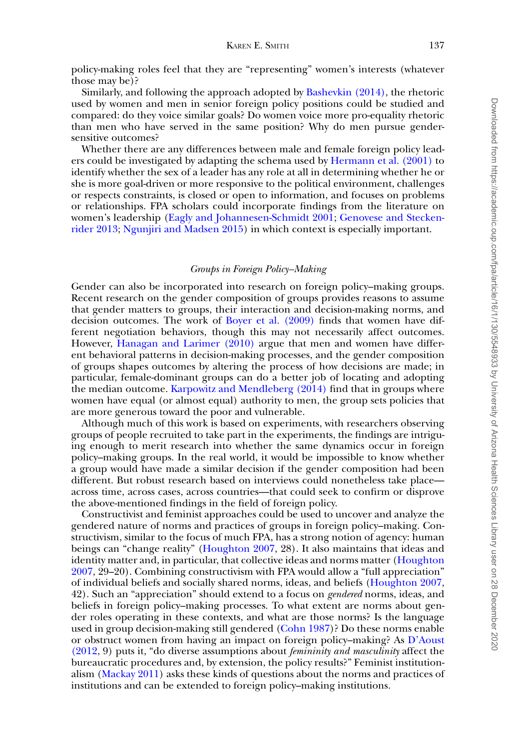policy-making roles feel that they are "representing" women's interests (whatever those may be)?

Similarly, and following the approach adopted by [Bashevkin \(2014\),](#page-9-8) the rhetoric used by women and men in senior foreign policy positions could be studied and compared: do they voice similar goals? Do women voice more pro-equality rhetoric than men who have served in the same position? Why do men pursue gendersensitive outcomes?

Whether there are any differences between male and female foreign policy leaders could be investigated by adapting the schema used by [Hermann et al. \(2001\)](#page-10-24) to identify whether the sex of a leader has any role at all in determining whether he or she is more goal-driven or more responsive to the political environment, challenges or respects constraints, is closed or open to information, and focuses on problems or relationships. FPA scholars could incorporate findings from the literature on women's leadership [\(Eagly and Johannesen-Schmidt 2001;](#page-9-25) Genovese and Steckenrider 2013; [Ngunjiri and Madsen 2015\) in which context is especially important.](#page-9-11)

## *Groups in Foreign Policy–Making*

Gender can also be incorporated into research on foreign policy–making groups. Recent research on the gender composition of groups provides reasons to assume that gender matters to groups, their interaction and decision-making norms, and decision outcomes. The work of [Boyer et al. \(2009\)](#page-9-27) finds that women have different negotiation behaviors, though this may not necessarily affect outcomes. However, [Hanagan and Larimer \(2010\)](#page-9-24) argue that men and women have different behavioral patterns in decision-making processes, and the gender composition of groups shapes outcomes by altering the process of how decisions are made; in particular, female-dominant groups can do a better job of locating and adopting the median outcome. [Karpowitz and Mendleberg \(2014\)](#page-10-26) find that in groups where women have equal (or almost equal) authority to men, the group sets policies that are more generous toward the poor and vulnerable.

Although much of this work is based on experiments, with researchers observing groups of people recruited to take part in the experiments, the findings are intriguing enough to merit research into whether the same dynamics occur in foreign policy–making groups. In the real world, it would be impossible to know whether a group would have made a similar decision if the gender composition had been different. But robust research based on interviews could nonetheless take place across time, across cases, across countries—that could seek to confirm or disprove the above-mentioned findings in the field of foreign policy.

Constructivist and feminist approaches could be used to uncover and analyze the gendered nature of norms and practices of groups in foreign policy–making. Constructivism, similar to the focus of much FPA, has a strong notion of agency: human beings can "change reality" [\(Houghton 2007,](#page-10-5) 28). It also maintains that ideas and [identity matter and, in particular, that collective ideas and norms matter \(Houghton](#page-10-5) 2007, 29–20). Combining constructivism with FPA would allow a "full appreciation" of individual beliefs and socially shared norms, ideas, and beliefs [\(Houghton 2007,](#page-10-5) 42). Such an "appreciation" should extend to a focus on *gendered* norms, ideas, and beliefs in foreign policy–making processes. To what extent are norms about gender roles operating in these contexts, and what are those norms? Is the language used in group decision-making still gendered [\(Cohn 1987\)](#page-9-28)? Do these norms enable [or obstruct women from having an impact on foreign policy–making? As](#page-9-3) D'Aoust (2012, 9) puts it, "do diverse assumptions about *femininity and masculinity* affect the bureaucratic procedures and, by extension, the policy results?" Feminist institutionalism [\(Mackay 2011\)](#page-10-29) asks these kinds of questions about the norms and practices of institutions and can be extended to foreign policy–making institutions.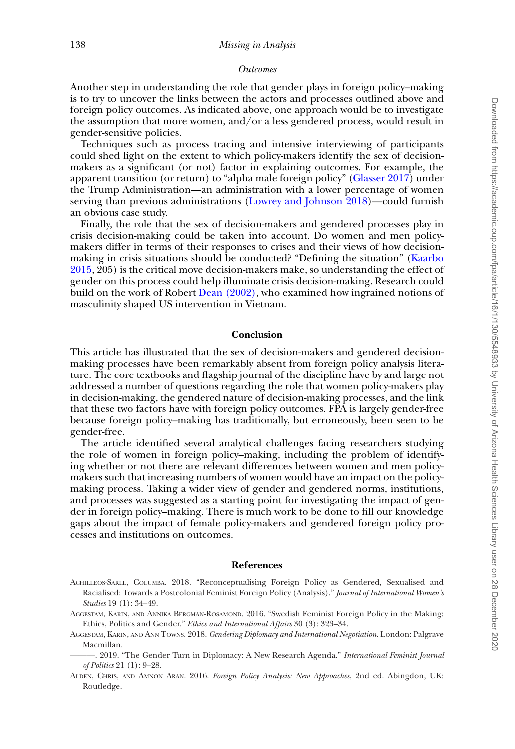#### *Outcomes*

Another step in understanding the role that gender plays in foreign policy–making is to try to uncover the links between the actors and processes outlined above and foreign policy outcomes. As indicated above, one approach would be to investigate the assumption that more women, and/or a less gendered process, would result in gender-sensitive policies.

Techniques such as process tracing and intensive interviewing of participants could shed light on the extent to which policy-makers identify the sex of decisionmakers as a significant (or not) factor in explaining outcomes. For example, the apparent transition (or return) to "alpha male foreign policy" [\(Glasser 2017\)](#page-9-29) under the Trump Administration—an administration with a lower percentage of women serving than previous administrations [\(Lowrey and Johnson 2018\)](#page-10-30)—could furnish an obvious case study.

Finally, the role that the sex of decision-makers and gendered processes play in crisis decision-making could be taken into account. Do women and men policymakers differ in terms of their responses to crises and their views of how decisionmaking in crisis situations should be conducted? "Defining the situation" (Kaarbo [2015, 205\) is the critical move decision-makers make, so understanding the effect of](#page-10-6) gender on this process could help illuminate crisis decision-making. Research could build on the work of Robert [Dean \(2002\),](#page-9-26) who examined how ingrained notions of masculinity shaped US intervention in Vietnam.

## **Conclusion**

This article has illustrated that the sex of decision-makers and gendered decisionmaking processes have been remarkably absent from foreign policy analysis literature. The core textbooks and flagship journal of the discipline have by and large not addressed a number of questions regarding the role that women policy-makers play in decision-making, the gendered nature of decision-making processes, and the link that these two factors have with foreign policy outcomes. FPA is largely gender-free because foreign policy–making has traditionally, but erroneously, been seen to be gender-free.

The article identified several analytical challenges facing researchers studying the role of women in foreign policy–making, including the problem of identifying whether or not there are relevant differences between women and men policymakers such that increasing numbers of women would have an impact on the policymaking process. Taking a wider view of gender and gendered norms, institutions, and processes was suggested as a starting point for investigating the impact of gender in foreign policy–making. There is much work to be done to fill our knowledge gaps about the impact of female policy-makers and gendered foreign policy processes and institutions on outcomes.

### **References**

<span id="page-8-1"></span>ACHILLEOS-SARLL, COLUMBA. 2018. "Reconceptualising Foreign Policy as Gendered, Sexualised and Racialised: Towards a Postcolonial Feminist Foreign Policy (Analysis)." *Journal of International Women's Studies* 19 (1): 34–49.

<span id="page-8-0"></span>AGGESTAM, KARIN, AND ANNIKA BERGMAN-ROSAMOND. 2016. "Swedish Feminist Foreign Policy in the Making: Ethics, Politics and Gender." *Ethics and International Affairs* 30 (3): 323–34.

- <span id="page-8-4"></span><span id="page-8-3"></span>AGGESTAM, KARIN, AND ANN TOWNS. 2018. *Gendering Diplomacy and International Negotiation*. London: Palgrave Macmillan.
	- ———. 2019. "The Gender Turn in Diplomacy: A New Research Agenda." *International Feminist Journal of Politics* 21 (1): 9–28.
- <span id="page-8-2"></span>ALDEN, CHRIS, AND AMNON ARAN. 2016. *Foreign Policy Analysis: New Approaches*, 2nd ed. Abingdon, UK: Routledge.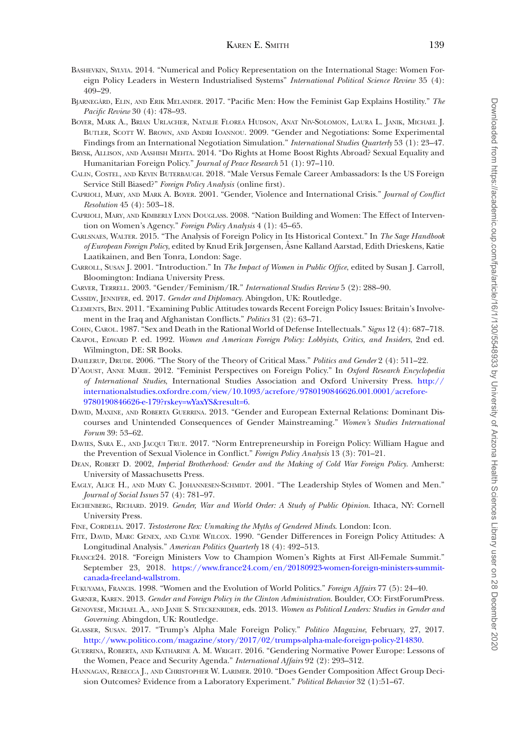- <span id="page-9-8"></span>BASHEVKIN, SYLVIA. 2014. "Numerical and Policy Representation on the International Stage: Women Foreign Policy Leaders in Western Industrialised Systems" *International Political Science Review* 35 (4): 409–29.
- <span id="page-9-12"></span>BJARNEGÅRD, ELIN, AND ERIK MELANDER. 2017. "Pacific Men: How the Feminist Gap Explains Hostility." *The Pacific Review* 30 (4): 478–93.
- <span id="page-9-27"></span>BOYER, MARK A., BRIAN URLACHER, NATALIE FLOREA HUDSON, ANAT NIV-SOLOMON, LAURA L. JANIK, MICHAEL J. BUTLER, SCOTT W. BROWN, AND ANDRI IOANNOU. 2009. "Gender and Negotiations: Some Experimental Findings from an International Negotiation Simulation." *International Studies Quarterly* 53 (1): 23–47.
- <span id="page-9-18"></span>BRYSK, ALLISON, AND AASHISH MEHTA. 2014. "Do Rights at Home Boost Rights Abroad? Sexual Equality and Humanitarian Foreign Policy." *Journal of Peace Research* 51 (1): 97–110.
- <span id="page-9-7"></span>CALIN, COSTEL, AND KEVIN BUTERBAUGH. 2018. "Male Versus Female Career Ambassadors: Is the US Foreign Service Still Biased?" *Foreign Policy Analysis* (online first).
- <span id="page-9-20"></span>CAPRIOLI, MARY, AND MARK A. BOYER. 2001. "Gender, Violence and International Crisis." *Journal of Conflict Resolution* 45 (4): 503–18.
- <span id="page-9-6"></span>CAPRIOLI, MARY, AND KIMBERLY LYNN DOUGLASS. 2008. "Nation Building and Women: The Effect of Intervention on Women's Agency." *Foreign Policy Analysis* 4 (1): 45–65.
- <span id="page-9-5"></span>CARLSNAES, WALTER. 2015. "The Analysis of Foreign Policy in Its Historical Context." In *The Sage Handbook of European Foreign Policy*, edited by Knud Erik Jørgensen, Asne Kalland Aarstad, Edith Drieskens, Katie ˚ Laatikainen, and Ben Tonra, London: Sage.
- <span id="page-9-10"></span>CARROLL, SUSAN J. 2001. "Introduction." In *The Impact of Women in Public Office*, edited by Susan J. Carroll, Bloomington: Indiana University Press.
- <span id="page-9-4"></span>CARVER, TERRELL. 2003. "Gender/Feminism/IR." *International Studies Review* 5 (2): 288–90.
- <span id="page-9-9"></span>CASSIDY, JENNIFER, ed. 2017. *Gender and Diplomacy*. Abingdon, UK: Routledge.
- <span id="page-9-14"></span>CLEMENTS, BEN. 2011. "Examining Public Attitudes towards Recent Foreign Policy Issues: Britain's Involvement in the Iraq and Afghanistan Conflicts." *Politics* 31 (2): 63–71.
- <span id="page-9-28"></span>COHN, CAROL. 1987. "Sex and Death in the Rational World of Defense Intellectuals." *Signs* 12 (4): 687–718.
- <span id="page-9-19"></span>CRAPOL, EDWARD P. ed. 1992. *Women and American Foreign Policy: Lobbyists, Critics, and Insiders*, 2nd ed. Wilmington, DE: SR Books.
- <span id="page-9-21"></span>DAHLERUP, DRUDE. 2006. "The Story of the Theory of Critical Mass." *Politics and Gender* 2 (4): 511–22.
- <span id="page-9-3"></span>D'AOUST, ANNE MARIE. 2012. "Feminist Perspectives on Foreign Policy." In *Oxford Research Encyclopedia of International Studies*, International Studies Association and Oxford University Press. http:// [internationalstudies.oxfordre.com/view/10.1093/acrefore/9780190846626.001.0001/acrefore-](http://internationalstudies.oxfordre.com/view/10.1093/acrefore/9780190846626.001.0001/acrefore-9780190846626-e-179?rskey=wYaxYS&result=6)9780190846626-e-179?rskey=wYaxYS&result=6.
- <span id="page-9-22"></span>DAVID, MAXINE, AND ROBERTA GUERRINA. 2013. "Gender and European External Relations: Dominant Discourses and Unintended Consequences of Gender Mainstreaming." *Women's Studies International Forum* 39: 53–62.
- <span id="page-9-2"></span>DAVIES, SARA E., AND JACQUI TRUE. 2017. "Norm Entrepreneurship in Foreign Policy: William Hague and the Prevention of Sexual Violence in Conflict." *Foreign Policy Analysis* 13 (3): 701–21.
- <span id="page-9-26"></span>DEAN, ROBERT D. 2002, *Imperial Brotherhood: Gender and the Making of Cold War Foreign Policy*. Amherst: University of Massachusetts Press.
- <span id="page-9-25"></span>EAGLY, ALICE H., AND MARY C. JOHANNESEN-SCHMIDT. 2001. "The Leadership Styles of Women and Men." *Journal of Social Issues* 57 (4): 781–97.
- <span id="page-9-15"></span>EICHENBERG, RICHARD. 2019. *Gender, War and World Order: A Study of Public Opinion*. Ithaca, NY: Cornell University Press.
- <span id="page-9-23"></span>FINE, CORDELIA. 2017. *Testosterone Rex: Unmaking the Myths of Gendered Minds*. London: Icon.
- <span id="page-9-13"></span>FITE, DAVID, MARC GENEX, AND CLYDE WILCOX. 1990. "Gender Differences in Foreign Policy Attitudes: A Longitudinal Analysis." *American Politics Quarterly* 18 (4): 492–513.
- <span id="page-9-0"></span>FRANCE24. 2018. "Foreign Ministers Vow to Champion Women's Rights at First All-Female Summit." September 23, 2018. [https://www.france24.com/en/20180923-women-foreign-ministers-summit](https://www.france24.com/en/20180923-women-foreign-ministers-summit-canada-freeland-wallstrom)canada-freeland-wallstrom.
- <span id="page-9-1"></span>FUKUYAMA, FRANCIS. 1998. "Women and the Evolution of World Politics." *Foreign Affairs* 77 (5): 24–40.
- <span id="page-9-16"></span>GARNER, KAREN. 2013. *Gender and Foreign Policy in the Clinton Administration*. Boulder, CO: FirstForumPress.
- <span id="page-9-11"></span>GENOVESE, MICHAEL A., AND JANIE S. STECKENRIDER, eds. 2013. *Women as Political Leaders: Studies in Gender and Governing*. Abingdon, UK: Routledge.
- <span id="page-9-29"></span>GLASSER, SUSAN. 2017. "Trump's Alpha Male Foreign Policy." *Politico Magazine*, February, 27, 2017. [http://www.politico.com/magazine/story/2017/02/trumps-alpha-male-foreign-policy-214830.](http://www.politico.com/magazine/story/2017/02/trumps-alpha-male-foreign-policy-214830)
- <span id="page-9-17"></span>GUERRINA, ROBERTA, AND KATHARINE A. M. WRIGHT. 2016. "Gendering Normative Power Europe: Lessons of the Women, Peace and Security Agenda." *International Affairs* 92 (2): 293–312.
- <span id="page-9-24"></span>HANNAGAN, REBECCA J., AND CHRISTOPHER W. LARIMER. 2010. "Does Gender Composition Affect Group Decision Outcomes? Evidence from a Laboratory Experiment." *Political Behavior* 32 (1):51–67.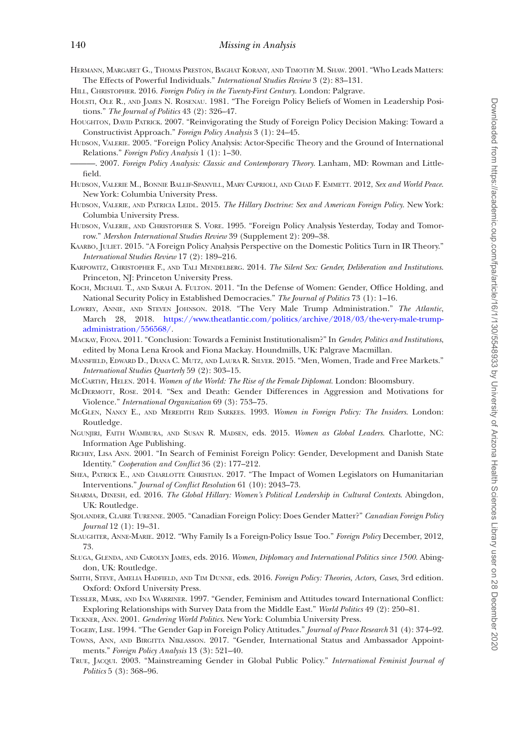- <span id="page-10-24"></span>HERMANN, MARGARET G., THOMAS PRESTON, BAGHAT KORANY, AND TIMOTHY M. SHAW. 2001. "Who Leads Matters: The Effects of Powerful Individuals." *International Studies Review* 3 (2): 83–131.
- <span id="page-10-3"></span>HILL, CHRISTOPHER. 2016. *Foreign Policy in the Twenty-First Century*. London: Palgrave.
- <span id="page-10-18"></span>HOLSTI, OLE R., AND JAMES N. ROSENAU. 1981. "The Foreign Policy Beliefs of Women in Leadership Positions." *The Journal of Politics* 43 (2): 326–47.
- <span id="page-10-5"></span>HOUGHTON, DAVID PATRICK. 2007. "Reinvigorating the Study of Foreign Policy Decision Making: Toward a Constructivist Approach." *Foreign Policy Analysis* 3 (1): 24–45.
- <span id="page-10-10"></span>HUDSON, VALERIE. 2005. "Foreign Policy Analysis: Actor-Specific Theory and the Ground of International Relations." *Foreign Policy Analysis* 1 (1): 1–30.
- <span id="page-10-8"></span>———. 2007. *Foreign Policy Analysis: Classic and Contemporary Theory*. Lanham, MD: Rowman and Littlefield.
- <span id="page-10-22"></span>HUDSON, VALERIE M., BONNIE BALLIF-SPANVILL, MARY CAPRIOLI, AND CHAD F. EMMETT. 2012, *Sex and World Peace*. New York: Columbia University Press.
- <span id="page-10-2"></span>HUDSON, VALERIE, AND PATRICIA LEIDL. 2015. *The Hillary Doctrine: Sex and American Foreign Policy*. New York: Columbia University Press.
- <span id="page-10-4"></span>HUDSON, VALERIE, AND CHRISTOPHER S. VORE. 1995. "Foreign Policy Analysis Yesterday, Today and Tomorrow." *Mershon International Studies Review* 39 (Supplement 2): 209–38.
- <span id="page-10-6"></span>KAARBO, JULIET. 2015. "A Foreign Policy Analysis Perspective on the Domestic Politics Turn in IR Theory." *International Studies Review* 17 (2): 189–216.
- <span id="page-10-26"></span>KARPOWITZ, CHRISTOPHER F., AND TALI MENDELBERG. 2014. *The Silent Sex: Gender, Deliberation and Institutions*. Princeton, NJ: Princeton University Press.
- <span id="page-10-11"></span>KOCH, MICHAEL T., AND SARAH A. FULTON. 2011. "In the Defense of Women: Gender, Office Holding, and National Security Policy in Established Democracies." *The Journal of Politics* 73 (1): 1–16.
- <span id="page-10-30"></span>LOWREY, ANNIE, AND STEVEN JOHNSON. 2018. "The Very Male Trump Administration." *The Atlantic*, March 28, 2018. [https://www.theatlantic.com/politics/archive/2018/03/the-very-male-trump](https://www.theatlantic.com/politics/archive/2018/03/the-very-male-trump-administration/556568/)administration/556568/.
- <span id="page-10-29"></span>MACKAY, FIONA. 2011. "Conclusion: Towards a Feminist Institutionalism?" In *Gender, Politics and Institutions*, edited by Mona Lena Krook and Fiona Mackay. Houndmills, UK: Palgrave Macmillan.
- <span id="page-10-17"></span>MANSFIELD, EDWARD D., DIANA C. MUTZ, AND LAURA R. SILVER. 2015. "Men, Women, Trade and Free Markets." *International Studies Quarterly* 59 (2): 303–15.
- <span id="page-10-12"></span>MCCARTHY, HELEN. 2014. *Women of the World: The Rise of the Female Diplomat*. London: Bloomsbury.
- <span id="page-10-27"></span>MCDERMOTT, ROSE. 2014. "Sex and Death: Gender Differences in Aggression and Motivations for Violence." *International Organization* 69 (3): 753–75.
- <span id="page-10-20"></span>MCGLEN, NANCY E., AND MEREDITH REID SARKEES. 1993. *Women in Foreign Policy: The Insiders*. London: Routledge.
- <span id="page-10-14"></span>NGUNJIRI, FAITH WAMBURA, AND SUSAN R. MADSEN, eds. 2015. *Women as Global Leaders*. Charlotte, NC: Information Age Publishing.
- <span id="page-10-1"></span>RICHEY, LISA ANN. 2001. "In Search of Feminist Foreign Policy: Gender, Development and Danish State Identity." *Cooperation and Conflict* 36 (2): 177–212.
- <span id="page-10-28"></span>SHEA, PATRICK E., AND CHARLOTTE CHRISTIAN. 2017. "The Impact of Women Legislators on Humanitarian Interventions." *Journal of Conflict Resolution* 61 (10): 2043–73.
- <span id="page-10-15"></span>SHARMA, DINESH, ed. 2016. *The Global Hillary: Women's Political Leadership in Cultural Contexts*. Abingdon, UK: Routledge.
- <span id="page-10-25"></span>SJOLANDER, CLAIRE TURENNE. 2005. "Canadian Foreign Policy: Does Gender Matter?" *Canadian Foreign Policy Journal* 12 (1): 19–31.
- <span id="page-10-0"></span>SLAUGHTER, ANNE-MARIE. 2012. "Why Family Is a Foreign-Policy Issue Too." *Foreign Policy* December, 2012, 73.
- <span id="page-10-13"></span>SLUGA, GLENDA, AND CAROLYN JAMES, eds. 2016. *Women, Diplomacy and International Politics since 1500*. Abingdon, UK: Routledge.
- <span id="page-10-7"></span>SMITH, STEVE, AMELIA HADFIELD, AND TIM DUNNE, eds. 2016. *Foreign Policy: Theories, Actors, Cases*, 3rd edition. Oxford: Oxford University Press.
- <span id="page-10-19"></span>TESSLER, MARK, AND INA WARRINER. 1997. "Gender, Feminism and Attitudes toward International Conflict: Exploring Relationships with Survey Data from the Middle East." *World Politics* 49 (2): 250–81.
- <span id="page-10-23"></span>TICKNER, ANN. 2001. *Gendering World Politics*. New York: Columbia University Press.
- <span id="page-10-16"></span>TOGEBY, LISE. 1994. "The Gender Gap in Foreign Policy Attitudes." *Journal of Peace Research* 31 (4): 374–92.
- <span id="page-10-9"></span>TOWNS, ANN, AND BIRGITTA NIKLASSON. 2017. "Gender, International Status and Ambassador Appointments." *Foreign Policy Analysis* 13 (3): 521–40.
- <span id="page-10-21"></span>TRUE, JACQUI. 2003. "Mainstreaming Gender in Global Public Policy." *International Feminist Journal of Politics* 5 (3): 368–96.